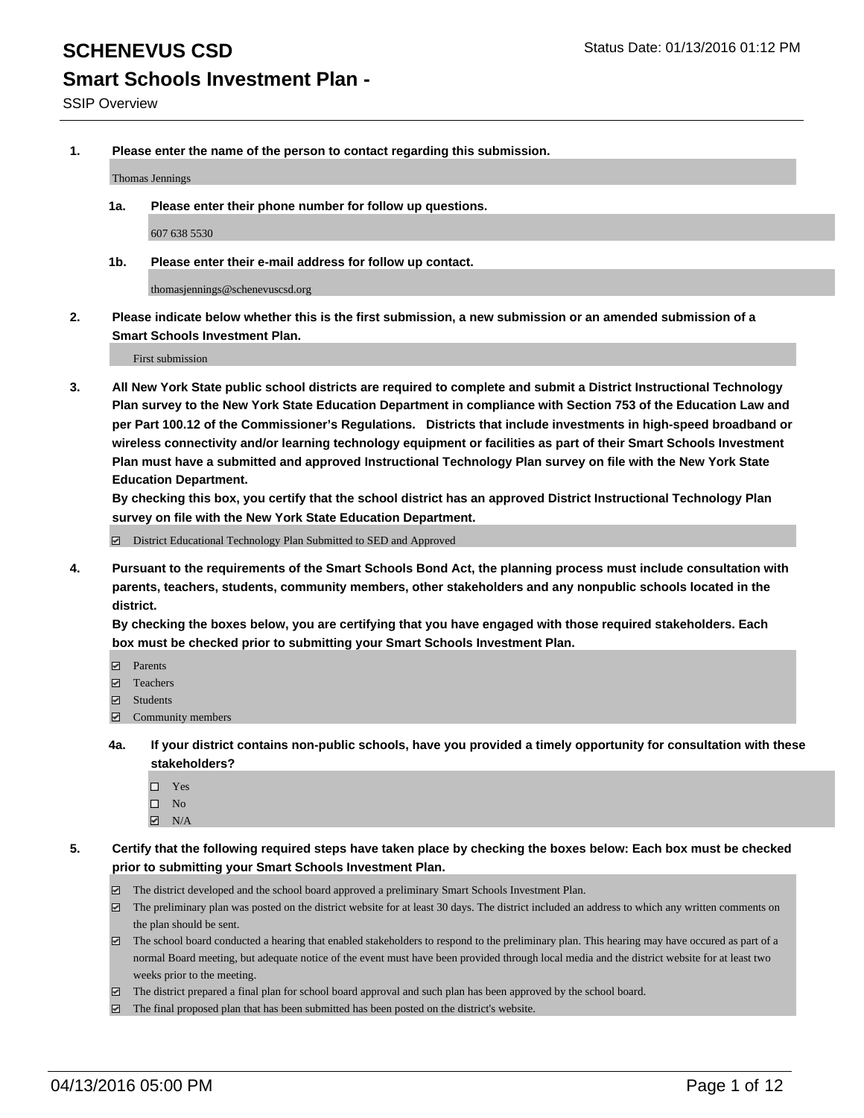**1. Please enter the name of the person to contact regarding this submission.**

Thomas Jennings

**1a. Please enter their phone number for follow up questions.**

607 638 5530

**1b. Please enter their e-mail address for follow up contact.**

thomasjennings@schenevuscsd.org

**2. Please indicate below whether this is the first submission, a new submission or an amended submission of a Smart Schools Investment Plan.**

First submission

**3. All New York State public school districts are required to complete and submit a District Instructional Technology Plan survey to the New York State Education Department in compliance with Section 753 of the Education Law and per Part 100.12 of the Commissioner's Regulations. Districts that include investments in high-speed broadband or wireless connectivity and/or learning technology equipment or facilities as part of their Smart Schools Investment Plan must have a submitted and approved Instructional Technology Plan survey on file with the New York State Education Department.** 

**By checking this box, you certify that the school district has an approved District Instructional Technology Plan survey on file with the New York State Education Department.**

■ District Educational Technology Plan Submitted to SED and Approved

**4. Pursuant to the requirements of the Smart Schools Bond Act, the planning process must include consultation with parents, teachers, students, community members, other stakeholders and any nonpublic schools located in the district.** 

**By checking the boxes below, you are certifying that you have engaged with those required stakeholders. Each box must be checked prior to submitting your Smart Schools Investment Plan.**

- **Parents**
- □ Teachers
- Students
- $\boxdot$  Community members
- **4a. If your district contains non-public schools, have you provided a timely opportunity for consultation with these stakeholders?**
	- □ Yes
	- $\square$  No
	- $\boxtimes$  N/A
- **5. Certify that the following required steps have taken place by checking the boxes below: Each box must be checked prior to submitting your Smart Schools Investment Plan.**
	- The district developed and the school board approved a preliminary Smart Schools Investment Plan.
	- The preliminary plan was posted on the district website for at least 30 days. The district included an address to which any written comments on the plan should be sent.
	- $\Box$  The school board conducted a hearing that enabled stakeholders to respond to the preliminary plan. This hearing may have occured as part of a normal Board meeting, but adequate notice of the event must have been provided through local media and the district website for at least two weeks prior to the meeting.
	- The district prepared a final plan for school board approval and such plan has been approved by the school board.
	- The final proposed plan that has been submitted has been posted on the district's website.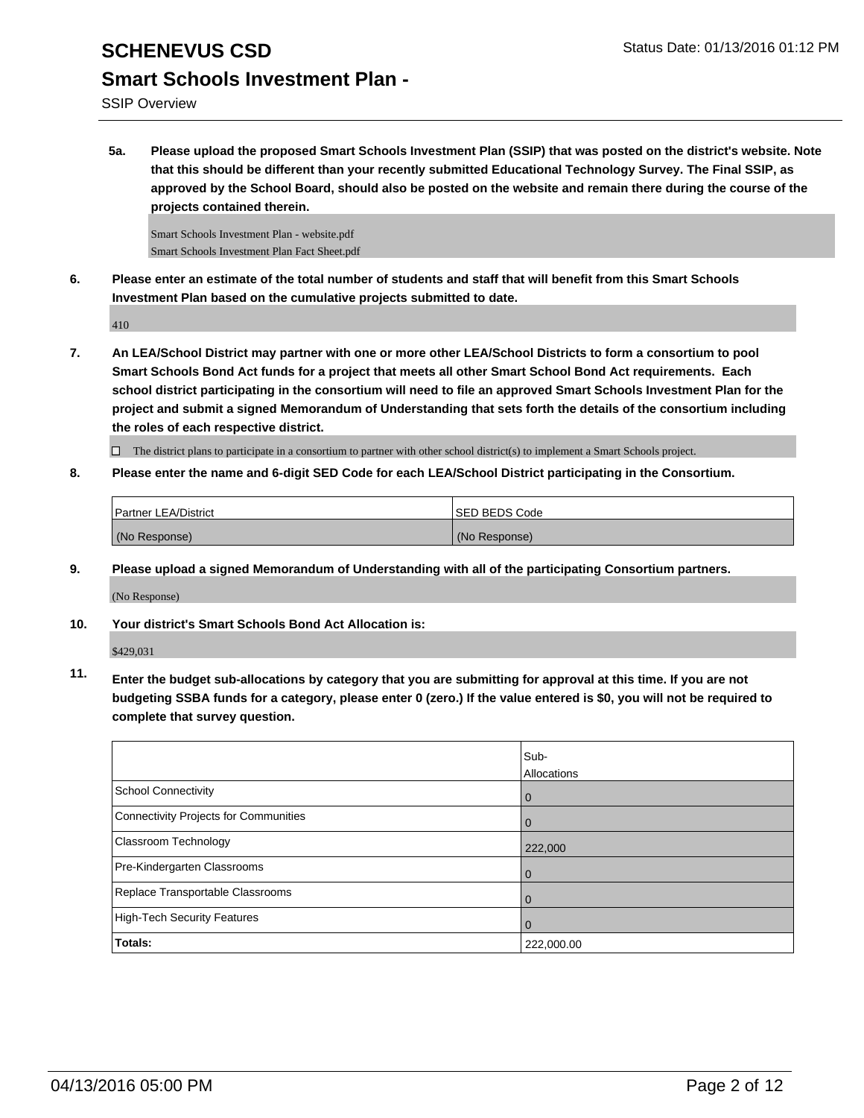SSIP Overview

**5a. Please upload the proposed Smart Schools Investment Plan (SSIP) that was posted on the district's website. Note that this should be different than your recently submitted Educational Technology Survey. The Final SSIP, as approved by the School Board, should also be posted on the website and remain there during the course of the projects contained therein.**

Smart Schools Investment Plan - website.pdf Smart Schools Investment Plan Fact Sheet.pdf

**6. Please enter an estimate of the total number of students and staff that will benefit from this Smart Schools Investment Plan based on the cumulative projects submitted to date.**

410

**7. An LEA/School District may partner with one or more other LEA/School Districts to form a consortium to pool Smart Schools Bond Act funds for a project that meets all other Smart School Bond Act requirements. Each school district participating in the consortium will need to file an approved Smart Schools Investment Plan for the project and submit a signed Memorandum of Understanding that sets forth the details of the consortium including the roles of each respective district.**

 $\Box$  The district plans to participate in a consortium to partner with other school district(s) to implement a Smart Schools project.

**8. Please enter the name and 6-digit SED Code for each LEA/School District participating in the Consortium.**

| <b>Partner LEA/District</b> | <b>ISED BEDS Code</b> |
|-----------------------------|-----------------------|
| (No Response)               | (No Response)         |

**9. Please upload a signed Memorandum of Understanding with all of the participating Consortium partners.**

(No Response)

**10. Your district's Smart Schools Bond Act Allocation is:**

\$429,031

**11. Enter the budget sub-allocations by category that you are submitting for approval at this time. If you are not budgeting SSBA funds for a category, please enter 0 (zero.) If the value entered is \$0, you will not be required to complete that survey question.**

|                                       | Sub-<br>Allocations |
|---------------------------------------|---------------------|
| School Connectivity                   | $\mathbf 0$         |
| Connectivity Projects for Communities |                     |
| <b>Classroom Technology</b>           | 222,000             |
| Pre-Kindergarten Classrooms           |                     |
| Replace Transportable Classrooms      | O                   |
| High-Tech Security Features           |                     |
| Totals:                               | 222,000.00          |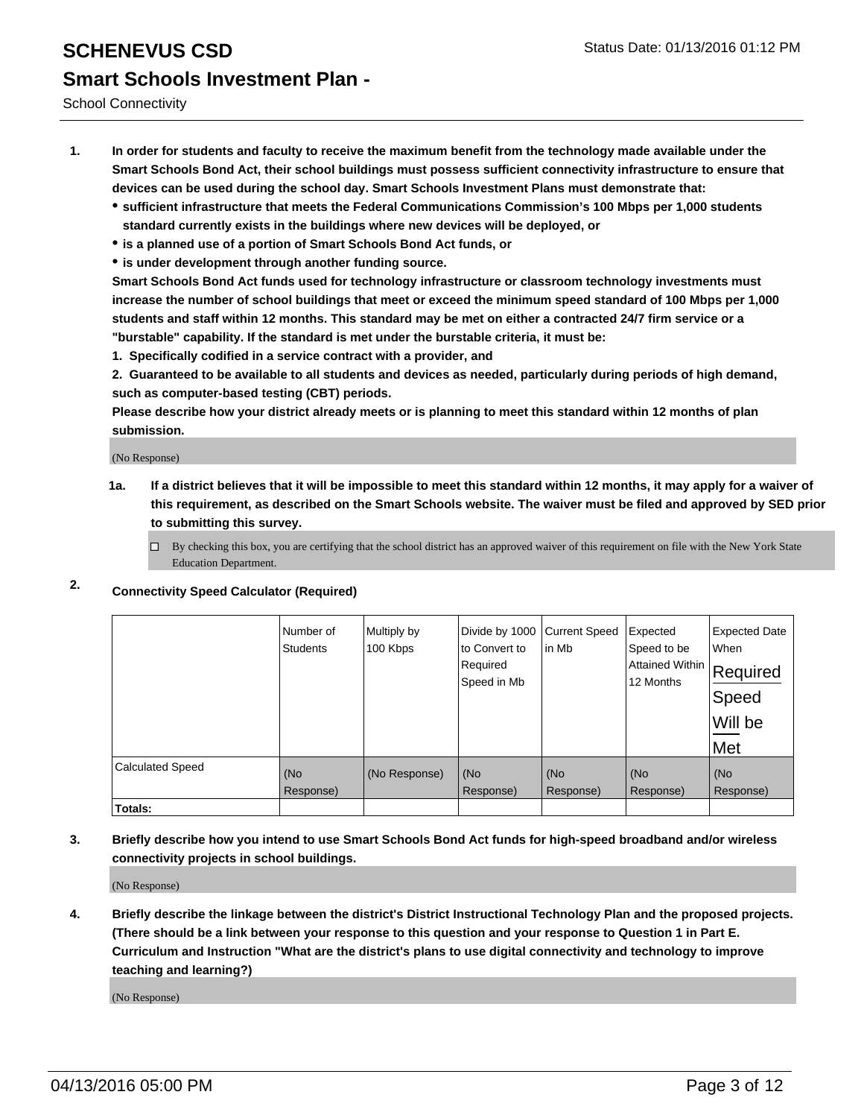School Connectivity

- **1. In order for students and faculty to receive the maximum benefit from the technology made available under the Smart Schools Bond Act, their school buildings must possess sufficient connectivity infrastructure to ensure that devices can be used during the school day. Smart Schools Investment Plans must demonstrate that:**
	- **sufficient infrastructure that meets the Federal Communications Commission's 100 Mbps per 1,000 students standard currently exists in the buildings where new devices will be deployed, or**
	- **is a planned use of a portion of Smart Schools Bond Act funds, or**
	- **is under development through another funding source.**

**Smart Schools Bond Act funds used for technology infrastructure or classroom technology investments must increase the number of school buildings that meet or exceed the minimum speed standard of 100 Mbps per 1,000 students and staff within 12 months. This standard may be met on either a contracted 24/7 firm service or a "burstable" capability. If the standard is met under the burstable criteria, it must be:**

**1. Specifically codified in a service contract with a provider, and**

**2. Guaranteed to be available to all students and devices as needed, particularly during periods of high demand, such as computer-based testing (CBT) periods.**

**Please describe how your district already meets or is planning to meet this standard within 12 months of plan submission.**

(No Response)

- **1a. If a district believes that it will be impossible to meet this standard within 12 months, it may apply for a waiver of this requirement, as described on the Smart Schools website. The waiver must be filed and approved by SED prior to submitting this survey.**
	- □ By checking this box, you are certifying that the school district has an approved waiver of this requirement on file with the New York State Education Department.
- **2. Connectivity Speed Calculator (Required)**

|                         | Number of<br><b>Students</b> | Multiply by<br>100 Kbps | Divide by 1000<br>to Convert to<br>Required<br>Speed in Mb | <b>Current Speed</b><br>in Mb | Expected<br>Speed to be<br>Attained Within<br>12 Months | <b>Expected Date</b><br>When<br>Required<br>Speed<br>Will be<br>Met |
|-------------------------|------------------------------|-------------------------|------------------------------------------------------------|-------------------------------|---------------------------------------------------------|---------------------------------------------------------------------|
| <b>Calculated Speed</b> | (No<br>Response)             | (No Response)           | (No<br>Response)                                           | (No<br>Response)              | (No<br>Response)                                        | (No<br>Response)                                                    |
| Totals:                 |                              |                         |                                                            |                               |                                                         |                                                                     |

**3. Briefly describe how you intend to use Smart Schools Bond Act funds for high-speed broadband and/or wireless connectivity projects in school buildings.**

(No Response)

**4. Briefly describe the linkage between the district's District Instructional Technology Plan and the proposed projects. (There should be a link between your response to this question and your response to Question 1 in Part E. Curriculum and Instruction "What are the district's plans to use digital connectivity and technology to improve teaching and learning?)**

(No Response)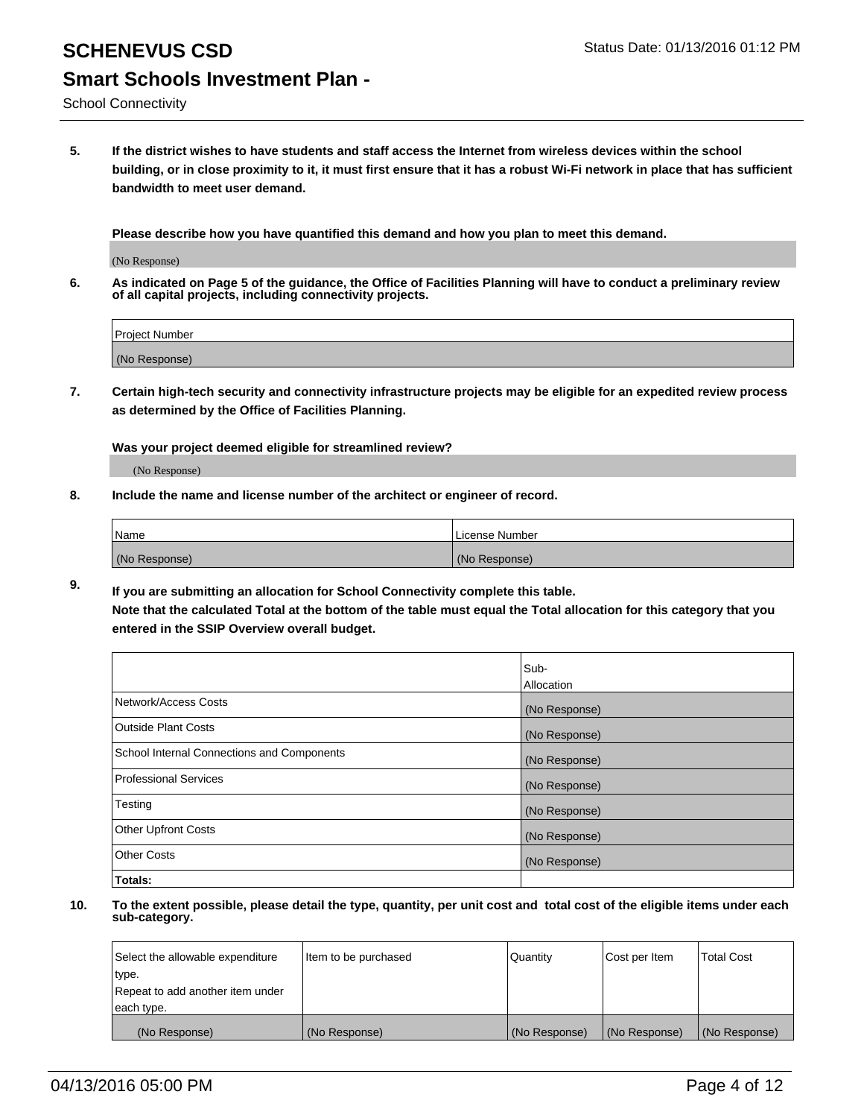School Connectivity

**5. If the district wishes to have students and staff access the Internet from wireless devices within the school building, or in close proximity to it, it must first ensure that it has a robust Wi-Fi network in place that has sufficient bandwidth to meet user demand.**

**Please describe how you have quantified this demand and how you plan to meet this demand.**

(No Response)

**6. As indicated on Page 5 of the guidance, the Office of Facilities Planning will have to conduct a preliminary review of all capital projects, including connectivity projects.**

| Project Number |  |
|----------------|--|
| (No Response)  |  |

**7. Certain high-tech security and connectivity infrastructure projects may be eligible for an expedited review process as determined by the Office of Facilities Planning.**

**Was your project deemed eligible for streamlined review?**

(No Response)

**8. Include the name and license number of the architect or engineer of record.**

| Name          | License Number |
|---------------|----------------|
| (No Response) | (No Response)  |

**9. If you are submitting an allocation for School Connectivity complete this table. Note that the calculated Total at the bottom of the table must equal the Total allocation for this category that you entered in the SSIP Overview overall budget.** 

|                                            | Sub-          |
|--------------------------------------------|---------------|
|                                            | Allocation    |
| Network/Access Costs                       | (No Response) |
| <b>Outside Plant Costs</b>                 | (No Response) |
| School Internal Connections and Components | (No Response) |
| <b>Professional Services</b>               | (No Response) |
| Testing                                    | (No Response) |
| <b>Other Upfront Costs</b>                 | (No Response) |
| <b>Other Costs</b>                         | (No Response) |
| Totals:                                    |               |

| Select the allowable expenditure | Item to be purchased | Quantity      | Cost per Item | <b>Total Cost</b> |
|----------------------------------|----------------------|---------------|---------------|-------------------|
| type.                            |                      |               |               |                   |
| Repeat to add another item under |                      |               |               |                   |
| each type.                       |                      |               |               |                   |
| (No Response)                    | (No Response)        | (No Response) | (No Response) | (No Response)     |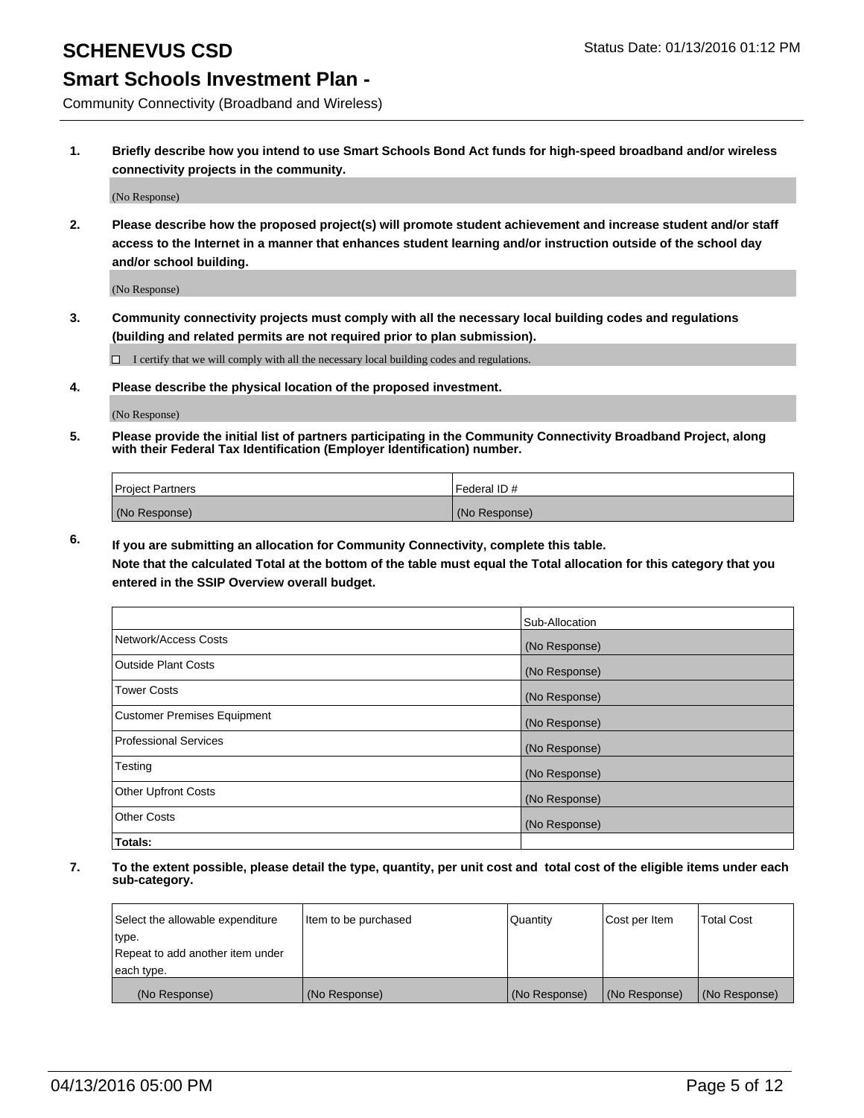Community Connectivity (Broadband and Wireless)

**1. Briefly describe how you intend to use Smart Schools Bond Act funds for high-speed broadband and/or wireless connectivity projects in the community.**

(No Response)

**2. Please describe how the proposed project(s) will promote student achievement and increase student and/or staff access to the Internet in a manner that enhances student learning and/or instruction outside of the school day and/or school building.**

(No Response)

**3. Community connectivity projects must comply with all the necessary local building codes and regulations (building and related permits are not required prior to plan submission).**

 $\Box$  I certify that we will comply with all the necessary local building codes and regulations.

**4. Please describe the physical location of the proposed investment.**

(No Response)

**5. Please provide the initial list of partners participating in the Community Connectivity Broadband Project, along with their Federal Tax Identification (Employer Identification) number.**

| <b>Project Partners</b> | <b>IFederal ID#</b> |
|-------------------------|---------------------|
| (No Response)           | (No Response)       |

**6. If you are submitting an allocation for Community Connectivity, complete this table.**

**Note that the calculated Total at the bottom of the table must equal the Total allocation for this category that you entered in the SSIP Overview overall budget.**

|                                    | Sub-Allocation |
|------------------------------------|----------------|
| Network/Access Costs               | (No Response)  |
| Outside Plant Costs                | (No Response)  |
| <b>Tower Costs</b>                 | (No Response)  |
| <b>Customer Premises Equipment</b> | (No Response)  |
| Professional Services              | (No Response)  |
| Testing                            | (No Response)  |
| <b>Other Upfront Costs</b>         | (No Response)  |
| <b>Other Costs</b>                 | (No Response)  |
| Totals:                            |                |

| Select the allowable expenditure | Item to be purchased | Quantity      | Cost per Item | <b>Total Cost</b> |
|----------------------------------|----------------------|---------------|---------------|-------------------|
| type.                            |                      |               |               |                   |
| Repeat to add another item under |                      |               |               |                   |
| each type.                       |                      |               |               |                   |
| (No Response)                    | (No Response)        | (No Response) | (No Response) | (No Response)     |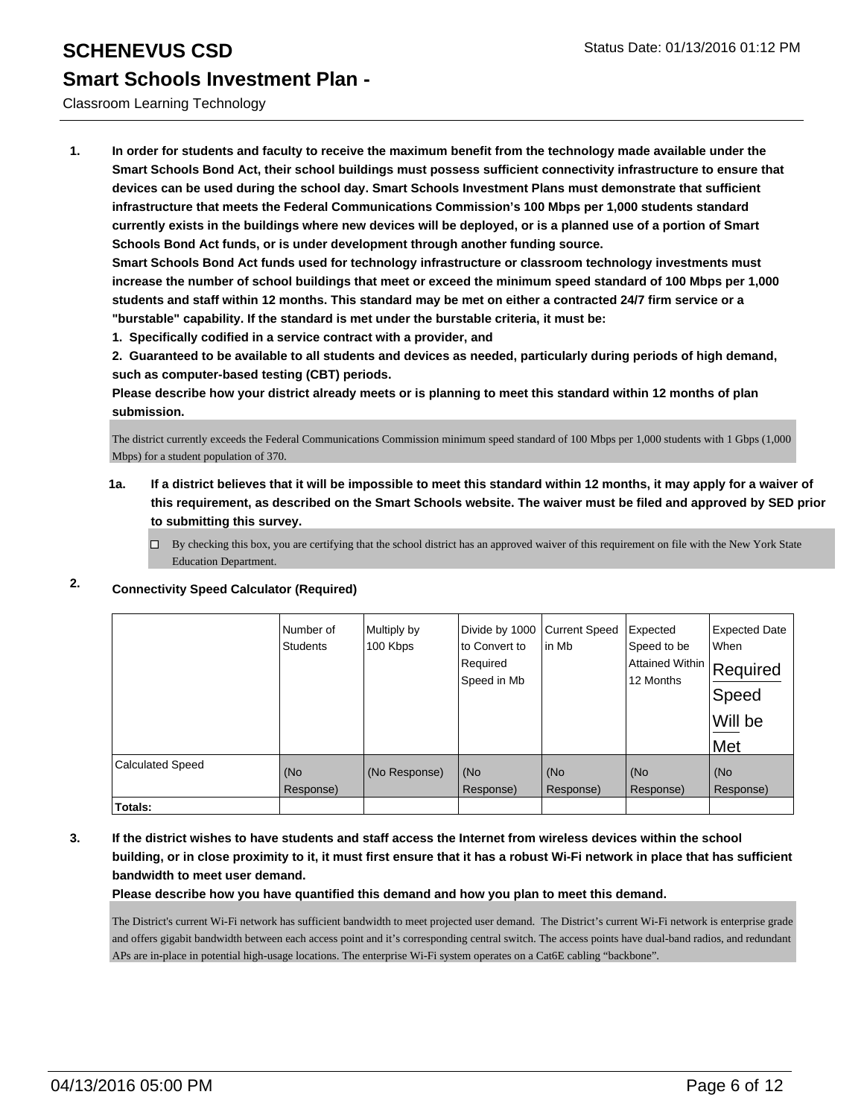### Classroom Learning Technology

**1. In order for students and faculty to receive the maximum benefit from the technology made available under the Smart Schools Bond Act, their school buildings must possess sufficient connectivity infrastructure to ensure that devices can be used during the school day. Smart Schools Investment Plans must demonstrate that sufficient infrastructure that meets the Federal Communications Commission's 100 Mbps per 1,000 students standard currently exists in the buildings where new devices will be deployed, or is a planned use of a portion of Smart Schools Bond Act funds, or is under development through another funding source.**

**Smart Schools Bond Act funds used for technology infrastructure or classroom technology investments must increase the number of school buildings that meet or exceed the minimum speed standard of 100 Mbps per 1,000 students and staff within 12 months. This standard may be met on either a contracted 24/7 firm service or a "burstable" capability. If the standard is met under the burstable criteria, it must be:**

**1. Specifically codified in a service contract with a provider, and**

**2. Guaranteed to be available to all students and devices as needed, particularly during periods of high demand, such as computer-based testing (CBT) periods.**

**Please describe how your district already meets or is planning to meet this standard within 12 months of plan submission.**

The district currently exceeds the Federal Communications Commission minimum speed standard of 100 Mbps per 1,000 students with 1 Gbps (1,000 Mbps) for a student population of 370.

**1a. If a district believes that it will be impossible to meet this standard within 12 months, it may apply for a waiver of this requirement, as described on the Smart Schools website. The waiver must be filed and approved by SED prior to submitting this survey.**

 $\Box$  By checking this box, you are certifying that the school district has an approved waiver of this requirement on file with the New York State Education Department.

|                         | Number of<br><b>Students</b> | Multiply by<br>100 Kbps | Divide by 1000<br>to Convert to<br>Required<br>Speed in Mb | <b>Current Speed</b><br>in Mb | Expected<br>Speed to be<br>Attained Within<br>12 Months | <b>Expected Date</b><br>When<br>Required<br>Speed<br>Will be<br>Met |
|-------------------------|------------------------------|-------------------------|------------------------------------------------------------|-------------------------------|---------------------------------------------------------|---------------------------------------------------------------------|
| <b>Calculated Speed</b> | (No<br>Response)             | (No Response)           | (No<br>Response)                                           | (No<br>Response)              | (No<br>Response)                                        | (No<br>Response)                                                    |
| Totals:                 |                              |                         |                                                            |                               |                                                         |                                                                     |

# **2. Connectivity Speed Calculator (Required)**

**3. If the district wishes to have students and staff access the Internet from wireless devices within the school building, or in close proximity to it, it must first ensure that it has a robust Wi-Fi network in place that has sufficient bandwidth to meet user demand.**

**Please describe how you have quantified this demand and how you plan to meet this demand.**

The District's current Wi-Fi network has sufficient bandwidth to meet projected user demand. The District's current Wi-Fi network is enterprise grade and offers gigabit bandwidth between each access point and it's corresponding central switch. The access points have dual-band radios, and redundant APs are in-place in potential high-usage locations. The enterprise Wi-Fi system operates on a Cat6E cabling "backbone".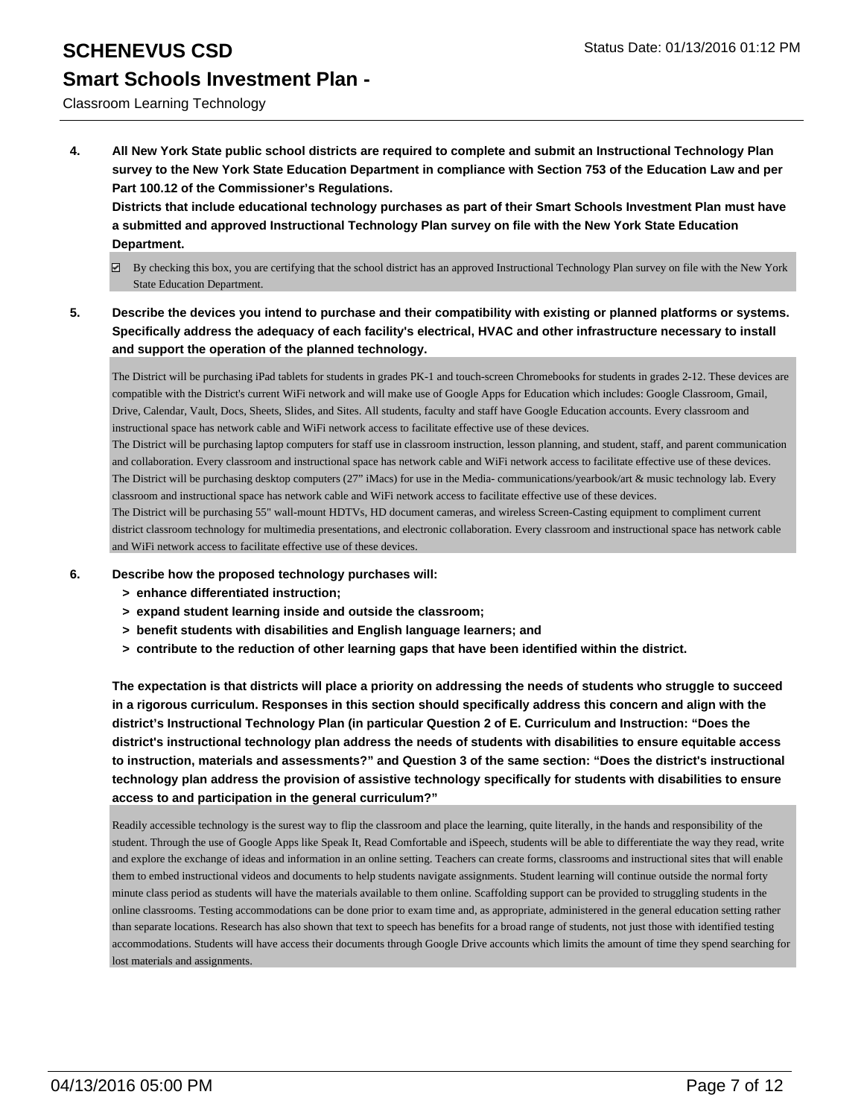Classroom Learning Technology

**4. All New York State public school districts are required to complete and submit an Instructional Technology Plan survey to the New York State Education Department in compliance with Section 753 of the Education Law and per Part 100.12 of the Commissioner's Regulations.**

**Districts that include educational technology purchases as part of their Smart Schools Investment Plan must have a submitted and approved Instructional Technology Plan survey on file with the New York State Education Department.**

- $\boxtimes$  By checking this box, you are certifying that the school district has an approved Instructional Technology Plan survey on file with the New York State Education Department.
- **5. Describe the devices you intend to purchase and their compatibility with existing or planned platforms or systems. Specifically address the adequacy of each facility's electrical, HVAC and other infrastructure necessary to install and support the operation of the planned technology.**

The District will be purchasing iPad tablets for students in grades PK-1 and touch-screen Chromebooks for students in grades 2-12. These devices are compatible with the District's current WiFi network and will make use of Google Apps for Education which includes: Google Classroom, Gmail, Drive, Calendar, Vault, Docs, Sheets, Slides, and Sites. All students, faculty and staff have Google Education accounts. Every classroom and instructional space has network cable and WiFi network access to facilitate effective use of these devices.

The District will be purchasing laptop computers for staff use in classroom instruction, lesson planning, and student, staff, and parent communication and collaboration. Every classroom and instructional space has network cable and WiFi network access to facilitate effective use of these devices. The District will be purchasing desktop computers (27" iMacs) for use in the Media- communications/yearbook/art & music technology lab. Every classroom and instructional space has network cable and WiFi network access to facilitate effective use of these devices.

The District will be purchasing 55" wall-mount HDTVs, HD document cameras, and wireless Screen-Casting equipment to compliment current district classroom technology for multimedia presentations, and electronic collaboration. Every classroom and instructional space has network cable and WiFi network access to facilitate effective use of these devices.

- **6. Describe how the proposed technology purchases will:**
	- **> enhance differentiated instruction;**
	- **> expand student learning inside and outside the classroom;**
	- **> benefit students with disabilities and English language learners; and**
	- **> contribute to the reduction of other learning gaps that have been identified within the district.**

**The expectation is that districts will place a priority on addressing the needs of students who struggle to succeed in a rigorous curriculum. Responses in this section should specifically address this concern and align with the district's Instructional Technology Plan (in particular Question 2 of E. Curriculum and Instruction: "Does the district's instructional technology plan address the needs of students with disabilities to ensure equitable access to instruction, materials and assessments?" and Question 3 of the same section: "Does the district's instructional technology plan address the provision of assistive technology specifically for students with disabilities to ensure access to and participation in the general curriculum?"**

Readily accessible technology is the surest way to flip the classroom and place the learning, quite literally, in the hands and responsibility of the student. Through the use of Google Apps like Speak It, Read Comfortable and iSpeech, students will be able to differentiate the way they read, write and explore the exchange of ideas and information in an online setting. Teachers can create forms, classrooms and instructional sites that will enable them to embed instructional videos and documents to help students navigate assignments. Student learning will continue outside the normal forty minute class period as students will have the materials available to them online. Scaffolding support can be provided to struggling students in the online classrooms. Testing accommodations can be done prior to exam time and, as appropriate, administered in the general education setting rather than separate locations. Research has also shown that text to speech has benefits for a broad range of students, not just those with identified testing accommodations. Students will have access their documents through Google Drive accounts which limits the amount of time they spend searching for lost materials and assignments.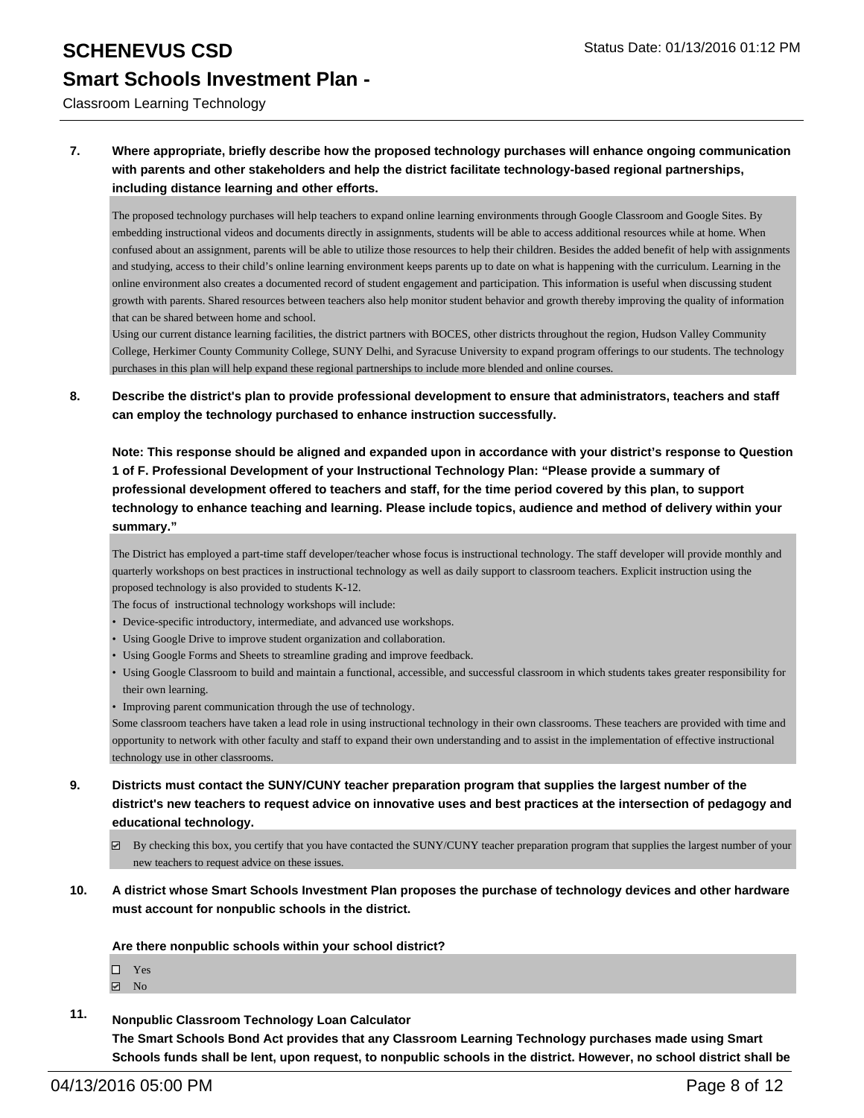### Classroom Learning Technology

### **7. Where appropriate, briefly describe how the proposed technology purchases will enhance ongoing communication with parents and other stakeholders and help the district facilitate technology-based regional partnerships, including distance learning and other efforts.**

The proposed technology purchases will help teachers to expand online learning environments through Google Classroom and Google Sites. By embedding instructional videos and documents directly in assignments, students will be able to access additional resources while at home. When confused about an assignment, parents will be able to utilize those resources to help their children. Besides the added benefit of help with assignments and studying, access to their child's online learning environment keeps parents up to date on what is happening with the curriculum. Learning in the online environment also creates a documented record of student engagement and participation. This information is useful when discussing student growth with parents. Shared resources between teachers also help monitor student behavior and growth thereby improving the quality of information that can be shared between home and school.

Using our current distance learning facilities, the district partners with BOCES, other districts throughout the region, Hudson Valley Community College, Herkimer County Community College, SUNY Delhi, and Syracuse University to expand program offerings to our students. The technology purchases in this plan will help expand these regional partnerships to include more blended and online courses.

### **8. Describe the district's plan to provide professional development to ensure that administrators, teachers and staff can employ the technology purchased to enhance instruction successfully.**

**Note: This response should be aligned and expanded upon in accordance with your district's response to Question 1 of F. Professional Development of your Instructional Technology Plan: "Please provide a summary of professional development offered to teachers and staff, for the time period covered by this plan, to support technology to enhance teaching and learning. Please include topics, audience and method of delivery within your summary."**

The District has employed a part-time staff developer/teacher whose focus is instructional technology. The staff developer will provide monthly and quarterly workshops on best practices in instructional technology as well as daily support to classroom teachers. Explicit instruction using the proposed technology is also provided to students K-12.

The focus of instructional technology workshops will include:

- Device-specific introductory, intermediate, and advanced use workshops.
- Using Google Drive to improve student organization and collaboration.
- Using Google Forms and Sheets to streamline grading and improve feedback.
- Using Google Classroom to build and maintain a functional, accessible, and successful classroom in which students takes greater responsibility for their own learning.
- Improving parent communication through the use of technology.

Some classroom teachers have taken a lead role in using instructional technology in their own classrooms. These teachers are provided with time and opportunity to network with other faculty and staff to expand their own understanding and to assist in the implementation of effective instructional technology use in other classrooms.

- **9. Districts must contact the SUNY/CUNY teacher preparation program that supplies the largest number of the district's new teachers to request advice on innovative uses and best practices at the intersection of pedagogy and educational technology.**
	- $\boxtimes$  By checking this box, you certify that you have contacted the SUNY/CUNY teacher preparation program that supplies the largest number of your new teachers to request advice on these issues.
- **10. A district whose Smart Schools Investment Plan proposes the purchase of technology devices and other hardware must account for nonpublic schools in the district.**

**Are there nonpublic schools within your school district?**

| ┐ | <b>Yes</b> |  |
|---|------------|--|
| ✓ | - No       |  |

**11. Nonpublic Classroom Technology Loan Calculator**

**The Smart Schools Bond Act provides that any Classroom Learning Technology purchases made using Smart Schools funds shall be lent, upon request, to nonpublic schools in the district. However, no school district shall be**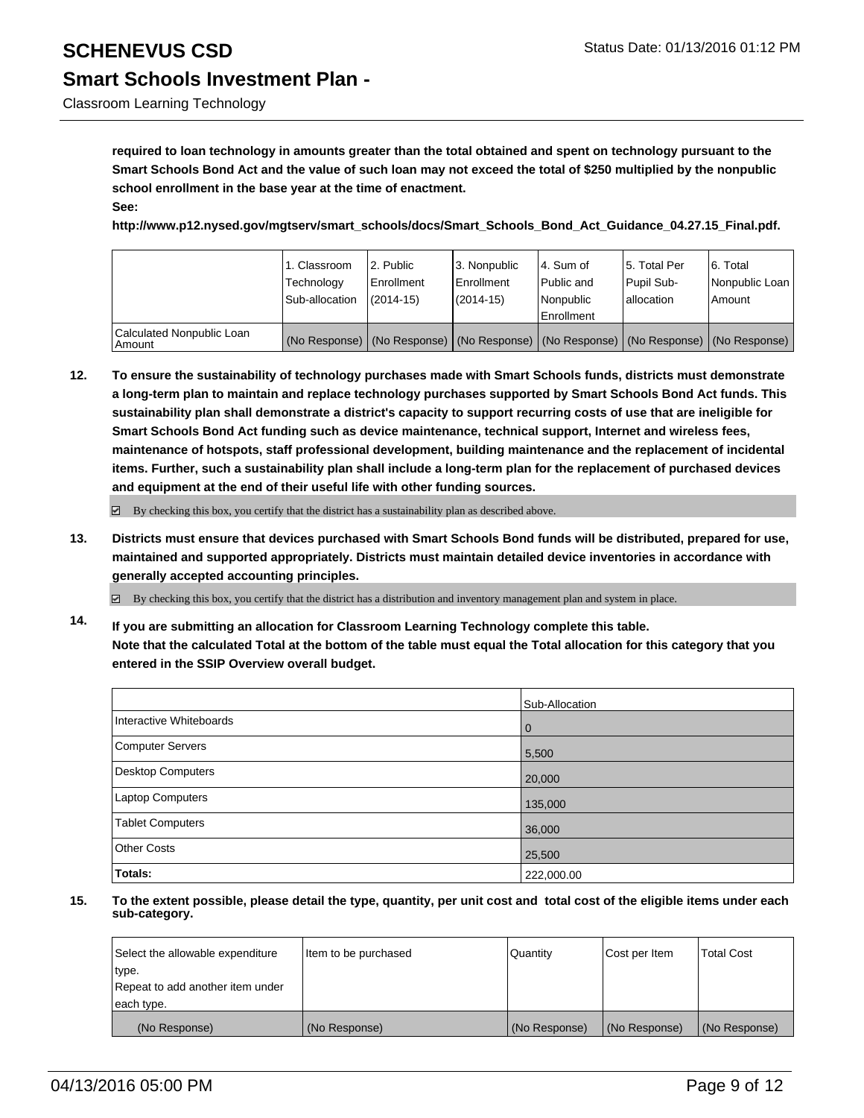# Classroom Learning Technology

**required to loan technology in amounts greater than the total obtained and spent on technology pursuant to the Smart Schools Bond Act and the value of such loan may not exceed the total of \$250 multiplied by the nonpublic school enrollment in the base year at the time of enactment.**

#### **See:**

**http://www.p12.nysed.gov/mgtserv/smart\_schools/docs/Smart\_Schools\_Bond\_Act\_Guidance\_04.27.15\_Final.pdf.**

|                                       | i 1. Classroom<br>Technology<br>Sub-allocation | 2. Public<br>Enrollment<br>$(2014 - 15)$ | 3. Nonpublic<br><b>Enrollment</b><br>$(2014 - 15)$                                            | 4. Sum of<br>Public and<br>Nonpublic | 15. Total Per<br><b>Pupil Sub-</b><br>lallocation | 6. Total<br>Nonpublic Loan<br>Amount |
|---------------------------------------|------------------------------------------------|------------------------------------------|-----------------------------------------------------------------------------------------------|--------------------------------------|---------------------------------------------------|--------------------------------------|
|                                       |                                                |                                          |                                                                                               | Enrollment                           |                                                   |                                      |
| Calculated Nonpublic Loan<br>  Amount |                                                |                                          | (No Response)   (No Response)   (No Response)   (No Response)   (No Response)   (No Response) |                                      |                                                   |                                      |

**12. To ensure the sustainability of technology purchases made with Smart Schools funds, districts must demonstrate a long-term plan to maintain and replace technology purchases supported by Smart Schools Bond Act funds. This sustainability plan shall demonstrate a district's capacity to support recurring costs of use that are ineligible for Smart Schools Bond Act funding such as device maintenance, technical support, Internet and wireless fees, maintenance of hotspots, staff professional development, building maintenance and the replacement of incidental items. Further, such a sustainability plan shall include a long-term plan for the replacement of purchased devices and equipment at the end of their useful life with other funding sources.**

 $\boxtimes$  By checking this box, you certify that the district has a sustainability plan as described above.

**13. Districts must ensure that devices purchased with Smart Schools Bond funds will be distributed, prepared for use, maintained and supported appropriately. Districts must maintain detailed device inventories in accordance with generally accepted accounting principles.**

 $\boxdot$  By checking this box, you certify that the district has a distribution and inventory management plan and system in place.

**14. If you are submitting an allocation for Classroom Learning Technology complete this table. Note that the calculated Total at the bottom of the table must equal the Total allocation for this category that you entered in the SSIP Overview overall budget.**

|                          | Sub-Allocation |
|--------------------------|----------------|
| Interactive Whiteboards  | $\Omega$       |
| Computer Servers         | 5,500          |
| <b>Desktop Computers</b> | 20,000         |
| Laptop Computers         | 135,000        |
| <b>Tablet Computers</b>  | 36,000         |
| <b>Other Costs</b>       | 25,500         |
| Totals:                  | 222,000.00     |

| Select the allowable expenditure | Item to be purchased | Quantity      | Cost per Item | Total Cost    |
|----------------------------------|----------------------|---------------|---------------|---------------|
| type.                            |                      |               |               |               |
| Repeat to add another item under |                      |               |               |               |
| each type.                       |                      |               |               |               |
| (No Response)                    | (No Response)        | (No Response) | (No Response) | (No Response) |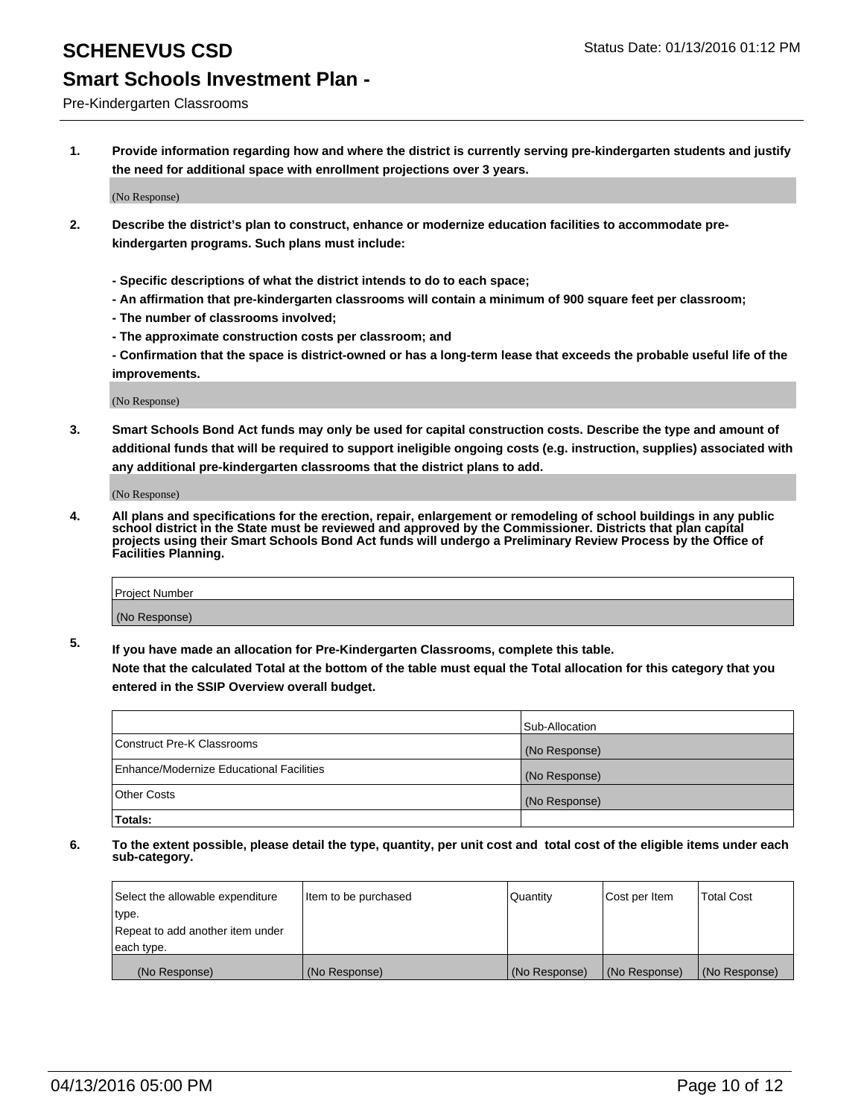### Pre-Kindergarten Classrooms

**1. Provide information regarding how and where the district is currently serving pre-kindergarten students and justify the need for additional space with enrollment projections over 3 years.**

(No Response)

- **2. Describe the district's plan to construct, enhance or modernize education facilities to accommodate prekindergarten programs. Such plans must include:**
	- **Specific descriptions of what the district intends to do to each space;**
	- **An affirmation that pre-kindergarten classrooms will contain a minimum of 900 square feet per classroom;**
	- **The number of classrooms involved;**
	- **The approximate construction costs per classroom; and**
	- **Confirmation that the space is district-owned or has a long-term lease that exceeds the probable useful life of the improvements.**

(No Response)

**3. Smart Schools Bond Act funds may only be used for capital construction costs. Describe the type and amount of additional funds that will be required to support ineligible ongoing costs (e.g. instruction, supplies) associated with any additional pre-kindergarten classrooms that the district plans to add.**

(No Response)

**4. All plans and specifications for the erection, repair, enlargement or remodeling of school buildings in any public school district in the State must be reviewed and approved by the Commissioner. Districts that plan capital projects using their Smart Schools Bond Act funds will undergo a Preliminary Review Process by the Office of Facilities Planning.**

| Project Number |  |
|----------------|--|
| (No Response)  |  |

**5. If you have made an allocation for Pre-Kindergarten Classrooms, complete this table. Note that the calculated Total at the bottom of the table must equal the Total allocation for this category that you**

**entered in the SSIP Overview overall budget.**

|                                          | Sub-Allocation |
|------------------------------------------|----------------|
| Construct Pre-K Classrooms               | (No Response)  |
| Enhance/Modernize Educational Facilities | (No Response)  |
| Other Costs                              | (No Response)  |
| Totals:                                  |                |

| Select the allowable expenditure | Item to be purchased | Quantity      | Cost per Item | <b>Total Cost</b> |
|----------------------------------|----------------------|---------------|---------------|-------------------|
| type.                            |                      |               |               |                   |
| Repeat to add another item under |                      |               |               |                   |
| each type.                       |                      |               |               |                   |
| (No Response)                    | (No Response)        | (No Response) | (No Response) | (No Response)     |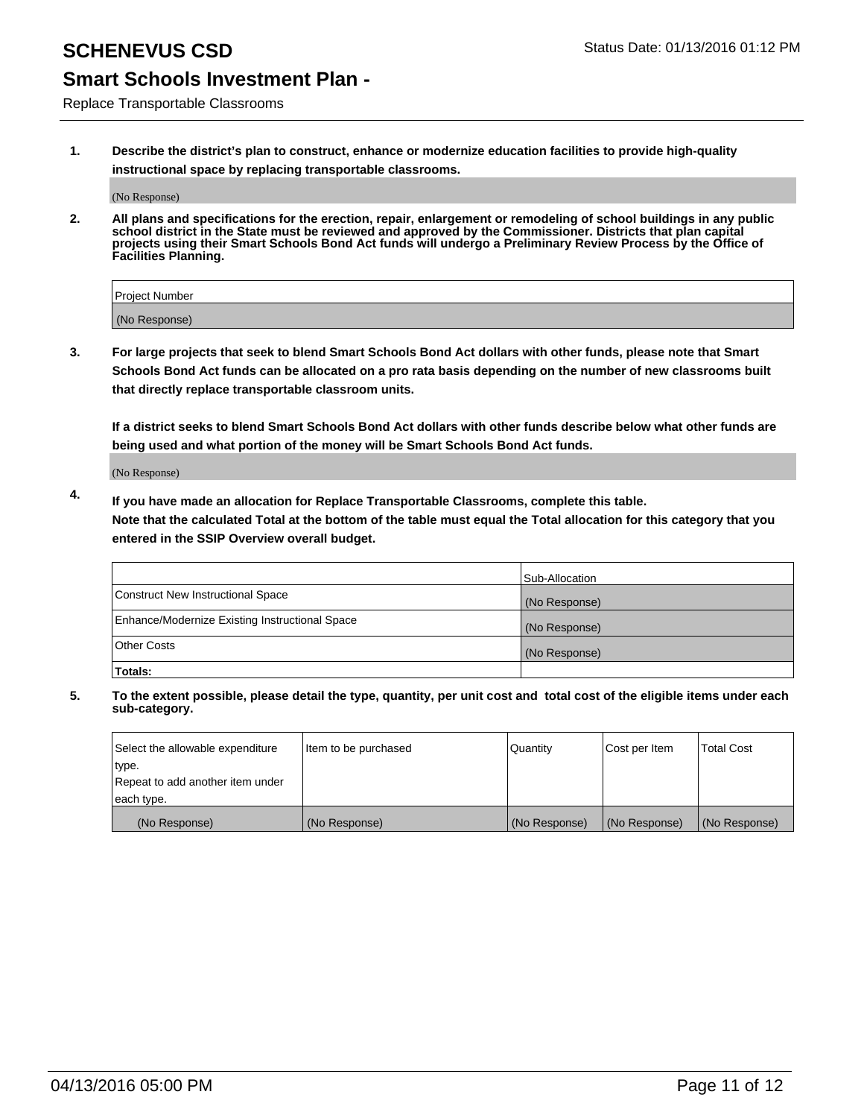Replace Transportable Classrooms

**1. Describe the district's plan to construct, enhance or modernize education facilities to provide high-quality instructional space by replacing transportable classrooms.**

(No Response)

**2. All plans and specifications for the erection, repair, enlargement or remodeling of school buildings in any public school district in the State must be reviewed and approved by the Commissioner. Districts that plan capital projects using their Smart Schools Bond Act funds will undergo a Preliminary Review Process by the Office of Facilities Planning.**

| Project Number |  |
|----------------|--|
| (No Response)  |  |

**3. For large projects that seek to blend Smart Schools Bond Act dollars with other funds, please note that Smart Schools Bond Act funds can be allocated on a pro rata basis depending on the number of new classrooms built that directly replace transportable classroom units.**

**If a district seeks to blend Smart Schools Bond Act dollars with other funds describe below what other funds are being used and what portion of the money will be Smart Schools Bond Act funds.**

(No Response)

**4. If you have made an allocation for Replace Transportable Classrooms, complete this table. Note that the calculated Total at the bottom of the table must equal the Total allocation for this category that you entered in the SSIP Overview overall budget.**

|                                                | Sub-Allocation |
|------------------------------------------------|----------------|
| Construct New Instructional Space              | (No Response)  |
| Enhance/Modernize Existing Instructional Space | (No Response)  |
| <b>Other Costs</b>                             | (No Response)  |
| Totals:                                        |                |

| Select the allowable expenditure | Item to be purchased | Quantity      | Cost per Item | <b>Total Cost</b> |
|----------------------------------|----------------------|---------------|---------------|-------------------|
| type.                            |                      |               |               |                   |
| Repeat to add another item under |                      |               |               |                   |
| each type.                       |                      |               |               |                   |
| (No Response)                    | (No Response)        | (No Response) | (No Response) | (No Response)     |